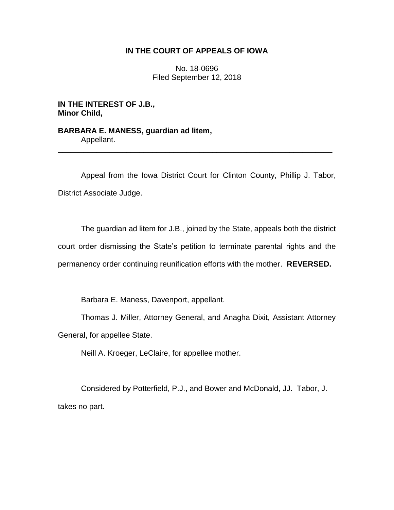# **IN THE COURT OF APPEALS OF IOWA**

No. 18-0696 Filed September 12, 2018

**IN THE INTEREST OF J.B., Minor Child,**

**BARBARA E. MANESS, guardian ad litem,** Appellant.

Appeal from the Iowa District Court for Clinton County, Phillip J. Tabor, District Associate Judge.

\_\_\_\_\_\_\_\_\_\_\_\_\_\_\_\_\_\_\_\_\_\_\_\_\_\_\_\_\_\_\_\_\_\_\_\_\_\_\_\_\_\_\_\_\_\_\_\_\_\_\_\_\_\_\_\_\_\_\_\_\_\_\_\_

The guardian ad litem for J.B., joined by the State, appeals both the district court order dismissing the State's petition to terminate parental rights and the permanency order continuing reunification efforts with the mother. **REVERSED.**

Barbara E. Maness, Davenport, appellant.

Thomas J. Miller, Attorney General, and Anagha Dixit, Assistant Attorney General, for appellee State.

Neill A. Kroeger, LeClaire, for appellee mother.

Considered by Potterfield, P.J., and Bower and McDonald, JJ. Tabor, J. takes no part.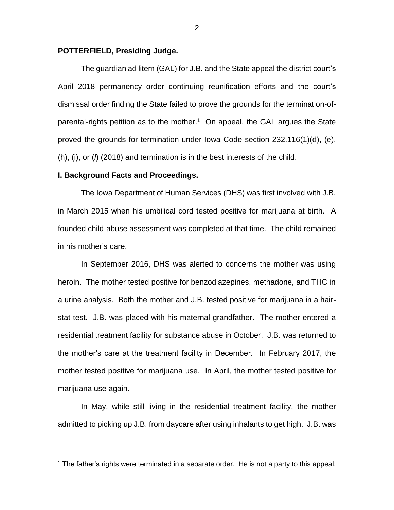### **POTTERFIELD, Presiding Judge.**

The guardian ad litem (GAL) for J.B. and the State appeal the district court's April 2018 permanency order continuing reunification efforts and the court's dismissal order finding the State failed to prove the grounds for the termination-ofparental-rights petition as to the mother. 1 On appeal, the GAL argues the State proved the grounds for termination under Iowa Code section 232.116(1)(d), (e), (h), (i), or (*l*) (2018) and termination is in the best interests of the child.

### **I. Background Facts and Proceedings.**

 $\overline{a}$ 

The Iowa Department of Human Services (DHS) was first involved with J.B. in March 2015 when his umbilical cord tested positive for marijuana at birth. A founded child-abuse assessment was completed at that time. The child remained in his mother's care.

In September 2016, DHS was alerted to concerns the mother was using heroin. The mother tested positive for benzodiazepines, methadone, and THC in a urine analysis. Both the mother and J.B. tested positive for marijuana in a hairstat test. J.B. was placed with his maternal grandfather. The mother entered a residential treatment facility for substance abuse in October. J.B. was returned to the mother's care at the treatment facility in December. In February 2017, the mother tested positive for marijuana use. In April, the mother tested positive for marijuana use again.

In May, while still living in the residential treatment facility, the mother admitted to picking up J.B. from daycare after using inhalants to get high. J.B. was

<sup>&</sup>lt;sup>1</sup> The father's rights were terminated in a separate order. He is not a party to this appeal.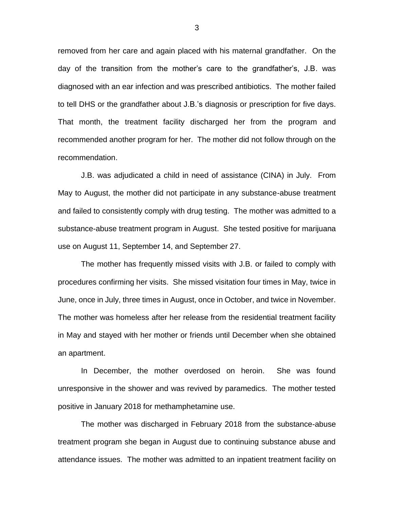removed from her care and again placed with his maternal grandfather. On the day of the transition from the mother's care to the grandfather's, J.B. was diagnosed with an ear infection and was prescribed antibiotics. The mother failed to tell DHS or the grandfather about J.B.'s diagnosis or prescription for five days. That month, the treatment facility discharged her from the program and recommended another program for her. The mother did not follow through on the recommendation.

J.B. was adjudicated a child in need of assistance (CINA) in July. From May to August, the mother did not participate in any substance-abuse treatment and failed to consistently comply with drug testing. The mother was admitted to a substance-abuse treatment program in August. She tested positive for marijuana use on August 11, September 14, and September 27.

The mother has frequently missed visits with J.B. or failed to comply with procedures confirming her visits. She missed visitation four times in May, twice in June, once in July, three times in August, once in October, and twice in November. The mother was homeless after her release from the residential treatment facility in May and stayed with her mother or friends until December when she obtained an apartment.

In December, the mother overdosed on heroin. She was found unresponsive in the shower and was revived by paramedics. The mother tested positive in January 2018 for methamphetamine use.

The mother was discharged in February 2018 from the substance-abuse treatment program she began in August due to continuing substance abuse and attendance issues. The mother was admitted to an inpatient treatment facility on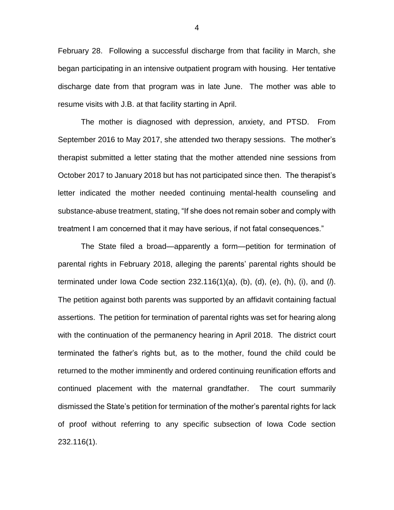February 28. Following a successful discharge from that facility in March, she began participating in an intensive outpatient program with housing. Her tentative discharge date from that program was in late June. The mother was able to resume visits with J.B. at that facility starting in April.

The mother is diagnosed with depression, anxiety, and PTSD. From September 2016 to May 2017, she attended two therapy sessions. The mother's therapist submitted a letter stating that the mother attended nine sessions from October 2017 to January 2018 but has not participated since then. The therapist's letter indicated the mother needed continuing mental-health counseling and substance-abuse treatment, stating, "If she does not remain sober and comply with treatment I am concerned that it may have serious, if not fatal consequences."

The State filed a broad—apparently a form—petition for termination of parental rights in February 2018, alleging the parents' parental rights should be terminated under Iowa Code section 232.116(1)(a), (b), (d), (e), (h), (i), and (*l*). The petition against both parents was supported by an affidavit containing factual assertions. The petition for termination of parental rights was set for hearing along with the continuation of the permanency hearing in April 2018. The district court terminated the father's rights but, as to the mother, found the child could be returned to the mother imminently and ordered continuing reunification efforts and continued placement with the maternal grandfather. The court summarily dismissed the State's petition for termination of the mother's parental rights for lack of proof without referring to any specific subsection of Iowa Code section 232.116(1).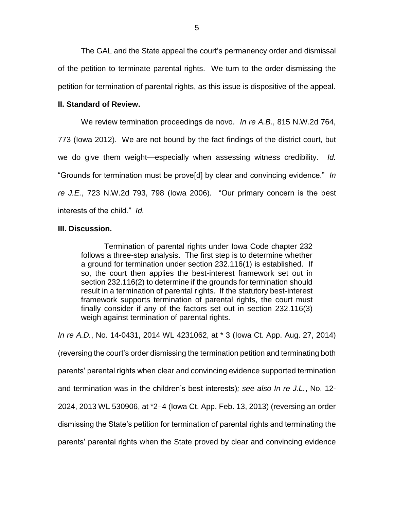The GAL and the State appeal the court's permanency order and dismissal of the petition to terminate parental rights. We turn to the order dismissing the petition for termination of parental rights, as this issue is dispositive of the appeal.

## **II. Standard of Review.**

We review termination proceedings de novo. *In re A.B.*, 815 N.W.2d 764, 773 (Iowa 2012). We are not bound by the fact findings of the district court, but we do give them weight—especially when assessing witness credibility. *Id.*  "Grounds for termination must be prove[d] by clear and convincing evidence." *In re J.E.*, 723 N.W.2d 793, 798 (Iowa 2006). "Our primary concern is the best interests of the child." *Id.*

### **III. Discussion.**

Termination of parental rights under Iowa Code chapter 232 follows a three-step analysis. The first step is to determine whether a ground for termination under section 232.116(1) is established. If so, the court then applies the best-interest framework set out in section 232.116(2) to determine if the grounds for termination should result in a termination of parental rights. If the statutory best-interest framework supports termination of parental rights, the court must finally consider if any of the factors set out in section 232.116(3) weigh against termination of parental rights.

*In re A.D.*, No. 14-0431, 2014 WL 4231062, at \* 3 (Iowa Ct. App. Aug. 27, 2014) (reversing the court's order dismissing the termination petition and terminating both parents' parental rights when clear and convincing evidence supported termination and termination was in the children's best interests)*; see also In re J.L.*, No. 12- 2024, 2013 WL 530906, at \*2–4 (Iowa Ct. App. Feb. 13, 2013) (reversing an order dismissing the State's petition for termination of parental rights and terminating the parents' parental rights when the State proved by clear and convincing evidence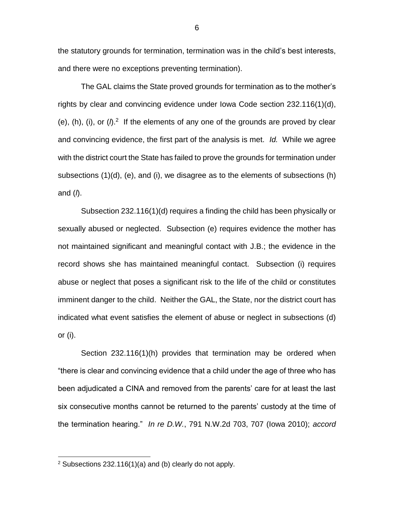the statutory grounds for termination, termination was in the child's best interests, and there were no exceptions preventing termination).

The GAL claims the State proved grounds for termination as to the mother's rights by clear and convincing evidence under Iowa Code section 232.116(1)(d), (e),  $(h)$ ,  $(i)$ , or  $(h)^2$  If the elements of any one of the grounds are proved by clear and convincing evidence, the first part of the analysis is met. *Id.* While we agree with the district court the State has failed to prove the grounds for termination under subsections (1)(d), (e), and (i), we disagree as to the elements of subsections (h) and (*l*).

Subsection 232.116(1)(d) requires a finding the child has been physically or sexually abused or neglected. Subsection (e) requires evidence the mother has not maintained significant and meaningful contact with J.B.; the evidence in the record shows she has maintained meaningful contact. Subsection (i) requires abuse or neglect that poses a significant risk to the life of the child or constitutes imminent danger to the child. Neither the GAL, the State, nor the district court has indicated what event satisfies the element of abuse or neglect in subsections (d) or (i).

Section 232.116(1)(h) provides that termination may be ordered when "there is clear and convincing evidence that a child under the age of three who has been adjudicated a CINA and removed from the parents' care for at least the last six consecutive months cannot be returned to the parents' custody at the time of the termination hearing." *In re D.W.*, 791 N.W.2d 703, 707 (Iowa 2010); *accord*

 $\overline{a}$ 

 $2$  Subsections 232.116(1)(a) and (b) clearly do not apply.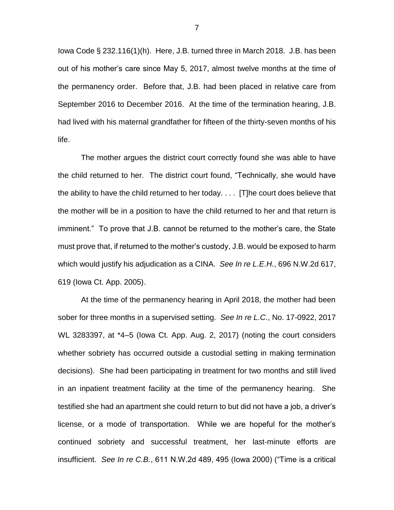Iowa Code § 232.116(1)(h). Here, J.B. turned three in March 2018. J.B. has been out of his mother's care since May 5, 2017, almost twelve months at the time of the permanency order. Before that, J.B. had been placed in relative care from September 2016 to December 2016. At the time of the termination hearing, J.B. had lived with his maternal grandfather for fifteen of the thirty-seven months of his life.

The mother argues the district court correctly found she was able to have the child returned to her. The district court found, "Technically, she would have the ability to have the child returned to her today. . . . [T]he court does believe that the mother will be in a position to have the child returned to her and that return is imminent." To prove that J.B. cannot be returned to the mother's care, the State must prove that, if returned to the mother's custody, J.B. would be exposed to harm which would justify his adjudication as a CINA. *See In re L.E.H.*, 696 N.W.2d 617, 619 (Iowa Ct. App. 2005).

At the time of the permanency hearing in April 2018, the mother had been sober for three months in a supervised setting. *See In re L.C.*, No. 17-0922, 2017 WL 3283397, at \*4–5 (Iowa Ct. App. Aug. 2, 2017) (noting the court considers whether sobriety has occurred outside a custodial setting in making termination decisions). She had been participating in treatment for two months and still lived in an inpatient treatment facility at the time of the permanency hearing. She testified she had an apartment she could return to but did not have a job, a driver's license, or a mode of transportation. While we are hopeful for the mother's continued sobriety and successful treatment, her last-minute efforts are insufficient. *See In re C.B.*, 611 N.W.2d 489, 495 (Iowa 2000) ("Time is a critical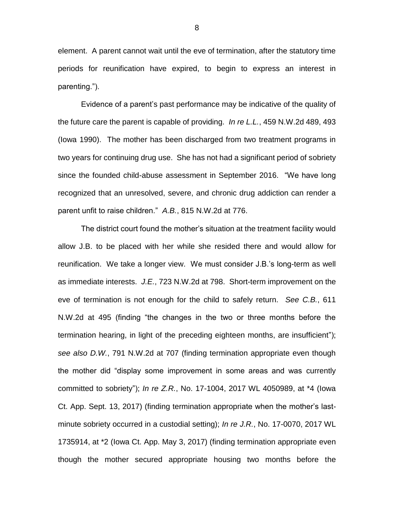element. A parent cannot wait until the eve of termination, after the statutory time periods for reunification have expired, to begin to express an interest in parenting.").

Evidence of a parent's past performance may be indicative of the quality of the future care the parent is capable of providing. *In re L.L.*, 459 N.W.2d 489, 493 (Iowa 1990). The mother has been discharged from two treatment programs in two years for continuing drug use. She has not had a significant period of sobriety since the founded child-abuse assessment in September 2016. "We have long recognized that an unresolved, severe, and chronic drug addiction can render a parent unfit to raise children." *A.B.*, 815 N.W.2d at 776.

The district court found the mother's situation at the treatment facility would allow J.B. to be placed with her while she resided there and would allow for reunification. We take a longer view. We must consider J.B.'s long-term as well as immediate interests. *J.E.*, 723 N.W.2d at 798. Short-term improvement on the eve of termination is not enough for the child to safely return. *See C.B.*, 611 N.W.2d at 495 (finding "the changes in the two or three months before the termination hearing, in light of the preceding eighteen months, are insufficient"); *see also D.W.*, 791 N.W.2d at 707 (finding termination appropriate even though the mother did "display some improvement in some areas and was currently committed to sobriety"); *In re Z.R.*, No. 17-1004, 2017 WL 4050989, at \*4 (Iowa Ct. App. Sept. 13, 2017) (finding termination appropriate when the mother's lastminute sobriety occurred in a custodial setting); *In re J.R.*, No. 17-0070, 2017 WL 1735914, at \*2 (Iowa Ct. App. May 3, 2017) (finding termination appropriate even though the mother secured appropriate housing two months before the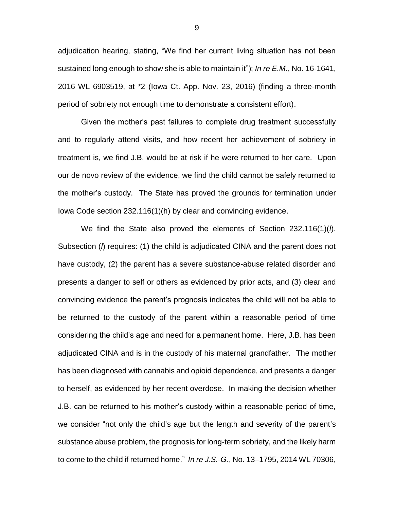adjudication hearing, stating, "We find her current living situation has not been sustained long enough to show she is able to maintain it"); *In re E.M.*, No. 16-1641, 2016 WL 6903519, at \*2 (Iowa Ct. App. Nov. 23, 2016) (finding a three-month period of sobriety not enough time to demonstrate a consistent effort).

Given the mother's past failures to complete drug treatment successfully and to regularly attend visits, and how recent her achievement of sobriety in treatment is, we find J.B. would be at risk if he were returned to her care. Upon our de novo review of the evidence, we find the child cannot be safely returned to the mother's custody. The State has proved the grounds for termination under Iowa Code section 232.116(1)(h) by clear and convincing evidence.

We find the State also proved the elements of Section 232.116(1)(*l*). Subsection (*l*) requires: (1) the child is adjudicated CINA and the parent does not have custody, (2) the parent has a severe substance-abuse related disorder and presents a danger to self or others as evidenced by prior acts, and (3) clear and convincing evidence the parent's prognosis indicates the child will not be able to be returned to the custody of the parent within a reasonable period of time considering the child's age and need for a permanent home. Here, J.B. has been adjudicated CINA and is in the custody of his maternal grandfather. The mother has been diagnosed with cannabis and opioid dependence, and presents a danger to herself, as evidenced by her recent overdose. In making the decision whether J.B. can be returned to his mother's custody within a reasonable period of time, we consider "not only the child's age but the length and severity of the parent's substance abuse problem, the prognosis for long-term sobriety, and the likely harm to come to the child if returned home." *In re J.S.-G.*, No. 13–1795, 2014 WL 70306,

9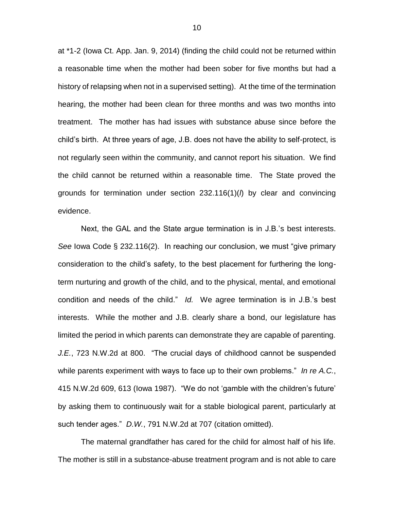at \*1-2 (Iowa Ct. App. Jan. 9, 2014) (finding the child could not be returned within a reasonable time when the mother had been sober for five months but had a history of relapsing when not in a supervised setting). At the time of the termination hearing, the mother had been clean for three months and was two months into treatment. The mother has had issues with substance abuse since before the child's birth. At three years of age, J.B. does not have the ability to self-protect, is not regularly seen within the community, and cannot report his situation. We find the child cannot be returned within a reasonable time. The State proved the grounds for termination under section 232.116(1)(*l*) by clear and convincing evidence.

Next, the GAL and the State argue termination is in J.B.'s best interests. *See* Iowa Code § 232.116(2). In reaching our conclusion, we must "give primary consideration to the child's safety, to the best placement for furthering the longterm nurturing and growth of the child, and to the physical, mental, and emotional condition and needs of the child." *Id.* We agree termination is in J.B.'s best interests. While the mother and J.B. clearly share a bond, our legislature has limited the period in which parents can demonstrate they are capable of parenting. *J.E.*, 723 N.W.2d at 800. "The crucial days of childhood cannot be suspended while parents experiment with ways to face up to their own problems." *In re A.C.*, 415 N.W.2d 609, 613 (Iowa 1987). "We do not 'gamble with the children's future' by asking them to continuously wait for a stable biological parent, particularly at such tender ages." *D.W.*, 791 N.W.2d at 707 (citation omitted).

The maternal grandfather has cared for the child for almost half of his life. The mother is still in a substance-abuse treatment program and is not able to care